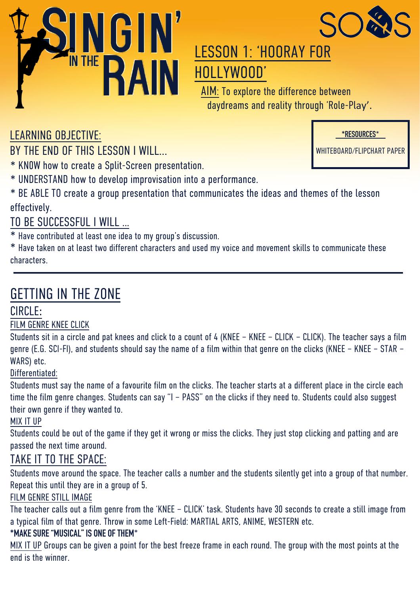



## LESSON 1: 'HOORAY FOR HOLLYWOOD'

AIM: To explore the difference between daydreams and reality through 'Role-Play'.

LEARNING OBJECTIVE:

BY THE END OF THIS LESSON I WILL...

\* KN0W how to create a Split-Screen presentation.

\* UNDERSTAND how to develop improvisation into a performance.

\* BE ABLE TO create a group presentation that communicates the ideas and themes of the lesson effectively.

### TO BE SUCCESSFUL I WILL …

\* Have contributed at least one idea to my group's discussion.

\* Have taken on at least two different characters and used my voice and movement skills to communicate these characters.

## GETTING IN THE ZONE

### CIRCLE:

#### FILM GENRE KNEE CLICK

Students sit in a circle and pat knees and click to a count of 4 (KNEE – KNEE – CLICK – CLICK). The teacher says a film genre (E.G. SCI-FI), and students should say the name of a film within that genre on the clicks (KNEE – KNEE – STAR – WARS) etc.

#### Differentiated:

Students must say the name of a favourite film on the clicks. The teacher starts at a different place in the circle each time the film genre changes. Students can say "I – PASS" on the clicks if they need to. Students could also suggest their own genre if they wanted to.

#### MIX IT UP

Students could be out of the game if they get it wrong or miss the clicks. They just stop clicking and patting and are passed the next time around.

## TAKE IT TO THE SPACE:

Students move around the space. The teacher calls a number and the students silently get into a group of that number. Repeat this until they are in a group of 5.

#### FILM GENRE STILL IMAGE

The teacher calls out a film genre from the 'KNEE – CLICK' task. Students have 30 seconds to create a still image from a typical film of that genre. Throw in some Left-Field: MARTIAL ARTS, ANIME, WESTERN etc.

#### **\*MAKE SURE "MUSICAL" IS ONE OF THEM**\*

MIX IT UP Groups can be given a point for the best freeze frame in each round. The group with the most points at the end is the winner.

**\*RESOURCES**\*

WHITEBOARD/FLIPCHART PAPER